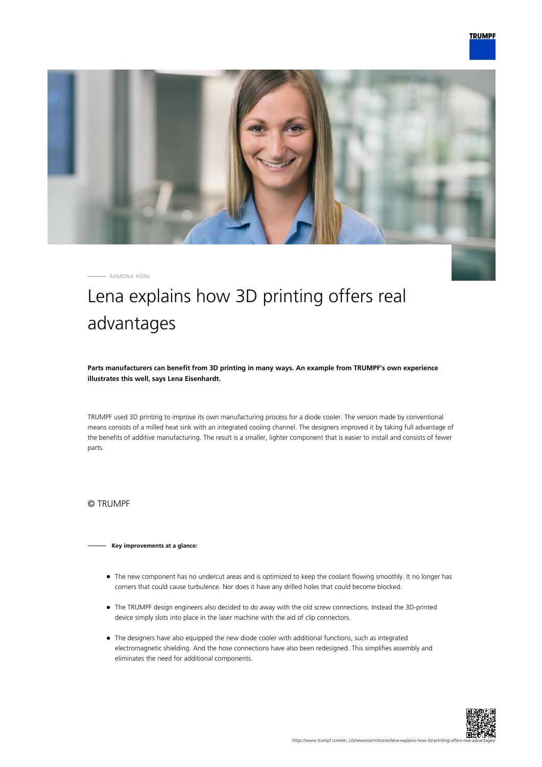

RAMONA HÖNL

## Lena explains how 3D printing offers real advantages

**Parts manufacturers can benefit from 3D printing in many ways. An example from TRUMPF's own experience illustrates this well, says Lena Eisenhardt.**

TRUMPF used 3D printing to improve its own manufacturing process for a diode cooler. The version made by conventional means consists of a milled heat sink with an integrated cooling channel. The designers improved it by taking full advantage of the benefits of additive manufacturing. The result is a smaller, lighter component that is easier to install and consists of fewer parts.

© TRUMPF

## **Key improvements at a glance:**

- The new component has no undercut areas and is optimized to keep the coolant flowing smoothly. It no longer has corners that could cause turbulence. Nor does it have any drilled holes that could become blocked.
- The TRUMPF design engineers also decided to do away with the old screw connections. Instead the 3D-printed device simply slots into place in the laser machine with the aid of clip connectors.
- The designers have also equipped the new diode cooler with additional functions, such as integrated electromagnetic shielding. And the hose connections have also been redesigned. This simplifies assembly and eliminates the need for additional components.